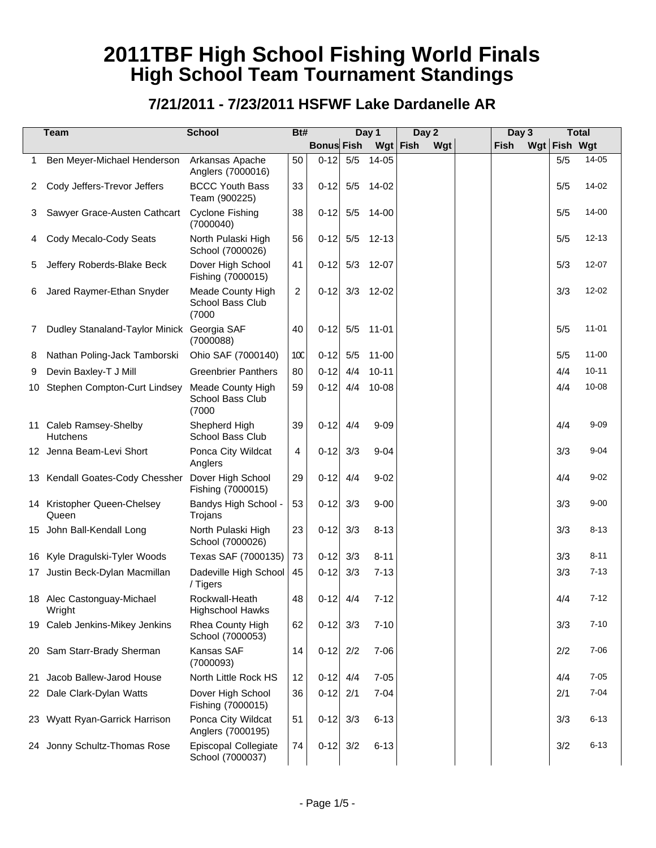|    | <b>Team</b>                               | <b>School</b>                                   | Bt# |                   |     | Day 1     |      | Day 2 | Day 3       |              | <b>Total</b> |
|----|-------------------------------------------|-------------------------------------------------|-----|-------------------|-----|-----------|------|-------|-------------|--------------|--------------|
|    |                                           |                                                 |     | <b>Bonus Fish</b> |     | Wgt       | Fish | Wgt   | <b>Fish</b> | Wgt Fish Wgt |              |
|    | Ben Meyer-Michael Henderson               | Arkansas Apache<br>Anglers (7000016)            | 50  | $0 - 12$          | 5/5 | 14-05     |      |       |             | 5/5          | 14-05        |
| 2  | Cody Jeffers-Trevor Jeffers               | <b>BCCC Youth Bass</b><br>Team (900225)         | 33  | $0 - 12$          |     | 5/5 14-02 |      |       |             | 5/5          | 14-02        |
| 3  | Sawyer Grace-Austen Cathcart              | <b>Cyclone Fishing</b><br>(7000040)             | 38  | $0 - 12$          |     | 5/5 14-00 |      |       |             | 5/5          | 14-00        |
| 4  | Cody Mecalo-Cody Seats                    | North Pulaski High<br>School (7000026)          | 56  | $0 - 12$          |     | 5/5 12-13 |      |       |             | 5/5          | $12 - 13$    |
| 5  | Jeffery Roberds-Blake Beck                | Dover High School<br>Fishing (7000015)          | 41  | $0 - 12$          |     | 5/3 12-07 |      |       |             | 5/3          | $12 - 07$    |
| 6  | Jared Raymer-Ethan Snyder                 | Meade County High<br>School Bass Club<br>(7000) | 2   | $0 - 12$          |     | 3/3 12-02 |      |       |             | 3/3          | 12-02        |
| 7  | Dudley Stanaland-Taylor Minick            | Georgia SAF<br>(7000088)                        | 40  | $0 - 12$          | 5/5 | 11-01     |      |       |             | 5/5          | $11 - 01$    |
| 8  | Nathan Poling-Jack Tamborski              | Ohio SAF (7000140)                              | 10C | $0 - 12$          | 5/5 | $11 - 00$ |      |       |             | 5/5          | $11 - 00$    |
| 9  | Devin Baxley-T J Mill                     | <b>Greenbrier Panthers</b>                      | 80  | $0 - 12$          | 4/4 | $10 - 11$ |      |       |             | 4/4          | $10 - 11$    |
|    | 10 Stephen Compton-Curt Lindsey           | Meade County High<br>School Bass Club<br>(7000) | 59  | $0 - 12$          | 4/4 | 10-08     |      |       |             | 4/4          | 10-08        |
|    | 11 Caleb Ramsey-Shelby<br><b>Hutchens</b> | Shepherd High<br>School Bass Club               | 39  | $0 - 12$          | 4/4 | $9 - 09$  |      |       |             | 4/4          | $9 - 09$     |
|    | 12 Jenna Beam-Levi Short                  | Ponca City Wildcat<br>Anglers                   | 4   | $0 - 12$          | 3/3 | $9 - 04$  |      |       |             | 3/3          | $9 - 04$     |
|    | 13 Kendall Goates-Cody Chessher           | Dover High School<br>Fishing (7000015)          | 29  | $0 - 12$          | 4/4 | $9 - 02$  |      |       |             | 4/4          | $9 - 02$     |
|    | 14 Kristopher Queen-Chelsey<br>Queen      | Bandys High School -<br>Trojans                 | 53  | $0 - 12$          | 3/3 | $9 - 00$  |      |       |             | 3/3          | $9 - 00$     |
|    | 15 John Ball-Kendall Long                 | North Pulaski High<br>School (7000026)          | 23  | $0 - 12$          | 3/3 | $8 - 13$  |      |       |             | 3/3          | $8 - 13$     |
|    | 16 Kyle Dragulski-Tyler Woods             | Texas SAF (7000135)                             | 73  | $0 - 12$          | 3/3 | $8 - 11$  |      |       |             | 3/3          | $8 - 11$     |
|    | 17 Justin Beck-Dylan Macmillan            | Dadeville High School<br>/ Tigers               | 45  | $0 - 12$          | 3/3 | $7 - 13$  |      |       |             | 3/3          | $7 - 13$     |
|    | 18 Alec Castonguay-Michael<br>Wright      | Rockwall-Heath<br><b>Highschool Hawks</b>       | 48  | $0-12$            | 4/4 | $7 - 12$  |      |       |             | 4/4          | $7 - 12$     |
|    | 19 Caleb Jenkins-Mikey Jenkins            | Rhea County High<br>School (7000053)            | 62  | $0 - 12$          | 3/3 | $7 - 10$  |      |       |             | 3/3          | $7 - 10$     |
|    | 20 Sam Starr-Brady Sherman                | Kansas SAF<br>(7000093)                         | 14  | $0-12$ 2/2        |     | $7 - 06$  |      |       |             | 2/2          | $7 - 06$     |
| 21 | Jacob Ballew-Jarod House                  | North Little Rock HS                            | 12  | $0 - 12$          | 4/4 | $7 - 05$  |      |       |             | 4/4          | $7 - 05$     |
|    | 22 Dale Clark-Dylan Watts                 | Dover High School<br>Fishing (7000015)          | 36  | $0-12$            | 2/1 | $7 - 04$  |      |       |             | 2/1          | $7 - 04$     |
|    | 23 Wyatt Ryan-Garrick Harrison            | Ponca City Wildcat<br>Anglers (7000195)         | 51  | $0 - 12$          | 3/3 | $6 - 13$  |      |       |             | 3/3          | $6 - 13$     |
|    | 24 Jonny Schultz-Thomas Rose              | Episcopal Collegiate<br>School (7000037)        | 74  | $0-12$            | 3/2 | $6 - 13$  |      |       |             | 3/2          | $6 - 13$     |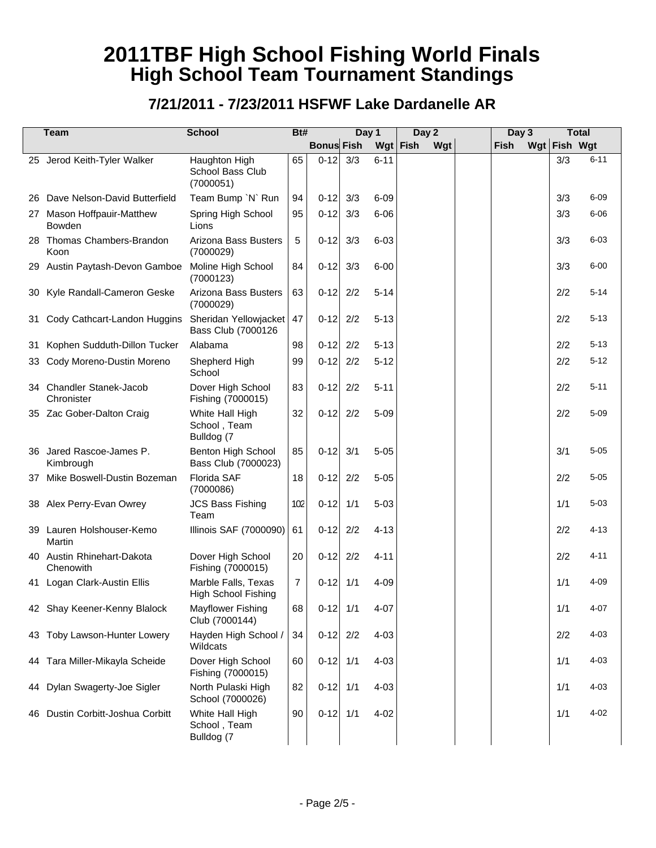|     | <b>Team</b>                                 | <b>School</b>                                     | Bt# |                   |     | Day 1      | Day 2 | Day 3       |              | <b>Total</b> |
|-----|---------------------------------------------|---------------------------------------------------|-----|-------------------|-----|------------|-------|-------------|--------------|--------------|
|     |                                             |                                                   |     | <b>Bonus Fish</b> |     | Wgt   Fish | Wgt   | <b>Fish</b> | Wgt Fish Wgt |              |
|     | 25 Jerod Keith-Tyler Walker                 | Haughton High<br>School Bass Club<br>(7000051)    | 65  | $0 - 12$          | 3/3 | $6 - 11$   |       |             | 3/3          | $6 - 11$     |
| 26  | Dave Nelson-David Butterfield               | Team Bump 'N' Run                                 | 94  | $0 - 12$          | 3/3 | $6 - 09$   |       |             | 3/3          | $6 - 09$     |
|     | 27 Mason Hoffpauir-Matthew<br><b>Bowden</b> | Spring High School<br>Lions                       | 95  | $0 - 12$          | 3/3 | $6 - 06$   |       |             | 3/3          | $6 - 06$     |
| 28  | Thomas Chambers-Brandon<br>Koon             | Arizona Bass Busters<br>(7000029)                 | 5   | $0 - 12$          | 3/3 | $6 - 03$   |       |             | 3/3          | $6 - 03$     |
| 29  | Austin Paytash-Devon Gamboe                 | Moline High School<br>(7000123)                   | 84  | $0 - 12$          | 3/3 | $6 - 00$   |       |             | 3/3          | $6 - 00$     |
| 30  | Kyle Randall-Cameron Geske                  | Arizona Bass Busters<br>(7000029)                 | 63  | $0 - 12$          | 2/2 | $5 - 14$   |       |             | 2/2          | $5 - 14$     |
| 31  | Cody Cathcart-Landon Huggins                | Sheridan Yellowjacket<br>Bass Club (7000126       | 47  | $0 - 12$          | 2/2 | $5 - 13$   |       |             | 2/2          | $5 - 13$     |
| 31  | Kophen Sudduth-Dillon Tucker                | Alabama                                           | 98  | $0 - 12$          | 2/2 | $5 - 13$   |       |             | 2/2          | $5 - 13$     |
| 33  | Cody Moreno-Dustin Moreno                   | Shepherd High<br>School                           | 99  | $0 - 12$          | 2/2 | $5 - 12$   |       |             | 2/2          | $5 - 12$     |
|     | 34 Chandler Stanek-Jacob<br>Chronister      | Dover High School<br>Fishing (7000015)            | 83  | $0 - 12$          | 2/2 | $5 - 11$   |       |             | 2/2          | $5 - 11$     |
|     | 35 Zac Gober-Dalton Craig                   | White Hall High<br>School, Team<br>Bulldog (7     | 32  | $0 - 12$          | 2/2 | $5 - 09$   |       |             | 2/2          | $5 - 09$     |
| 36  | Jared Rascoe-James P.<br>Kimbrough          | Benton High School<br>Bass Club (7000023)         | 85  | $0 - 12$          | 3/1 | $5 - 05$   |       |             | 3/1          | $5 - 05$     |
| 37  | Mike Boswell-Dustin Bozeman                 | Florida SAF<br>(7000086)                          | 18  | $0 - 12$          | 2/2 | $5 - 05$   |       |             | 2/2          | $5 - 05$     |
|     | 38 Alex Perry-Evan Owrey                    | <b>JCS Bass Fishing</b><br>Team                   | 102 | $0 - 12$          | 1/1 | $5 - 03$   |       |             | 1/1          | $5 - 03$     |
| 39  | Lauren Holshouser-Kemo<br>Martin            | Illinois SAF (7000090)                            | 61  | $0 - 12$          | 2/2 | $4 - 13$   |       |             | 2/2          | $4 - 13$     |
|     | 40 Austin Rhinehart-Dakota<br>Chenowith     | Dover High School<br>Fishing (7000015)            | 20  | $0 - 12$          | 2/2 | $4 - 11$   |       |             | 2/2          | $4 - 11$     |
| 41  | Logan Clark-Austin Ellis                    | Marble Falls, Texas<br><b>High School Fishing</b> | 7   | $0 - 12$          | 1/1 | $4 - 09$   |       |             | 1/1          | $4 - 09$     |
|     | 42 Shay Keener-Kenny Blalock                | <b>Mayflower Fishing</b><br>Club (7000144)        | 68  | $0-12$            | 1/1 | $4 - 07$   |       |             | 1/1          | 4-07         |
|     | 43 Toby Lawson-Hunter Lowery                | Hayden High School /<br>Wildcats                  | 34  | $0-12$            | 2/2 | $4 - 03$   |       |             | 2/2          | $4 - 03$     |
|     | 44 Tara Miller-Mikayla Scheide              | Dover High School<br>Fishing (7000015)            | 60  | $0-12$ 1/1        |     | $4 - 03$   |       |             | 1/1          | $4 - 03$     |
|     | 44 Dylan Swagerty-Joe Sigler                | North Pulaski High<br>School (7000026)            | 82  | $0-12$ 1/1        |     | $4 - 03$   |       |             | 1/1          | $4 - 03$     |
| 46. | Dustin Corbitt-Joshua Corbitt               | White Hall High<br>School, Team<br>Bulldog (7     | 90  | $0-12$ 1/1        |     | $4 - 02$   |       |             | 1/1          | $4 - 02$     |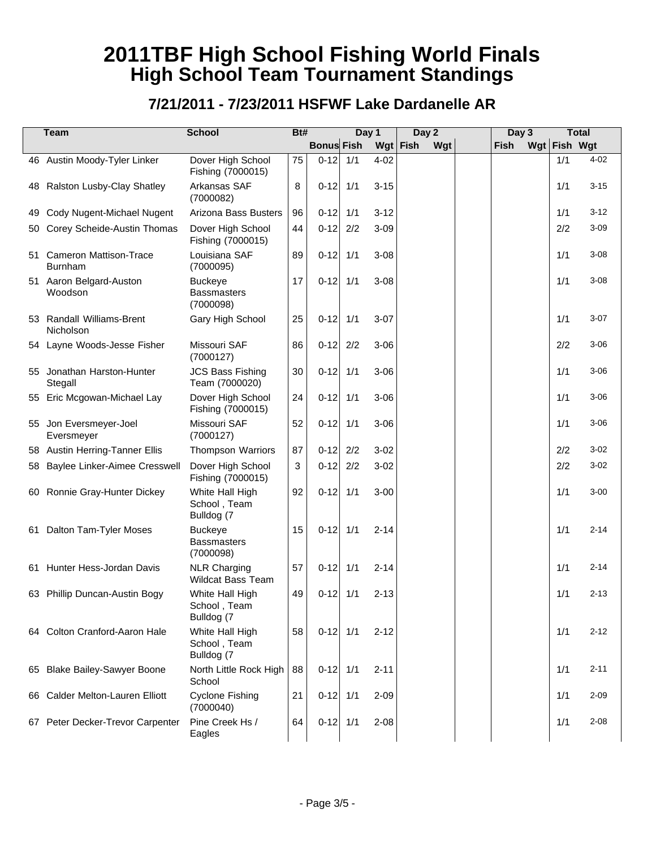|    | <b>Team</b>                              | <b>School</b>                                     | Bt# |                   |     | Day 1      | Day 2 |     | Day 3 |              | <b>Total</b> |
|----|------------------------------------------|---------------------------------------------------|-----|-------------------|-----|------------|-------|-----|-------|--------------|--------------|
|    |                                          |                                                   |     | <b>Bonus Fish</b> |     | Wgt   Fish |       | Wgt | Fish  | Wgt Fish Wgt |              |
|    | 46 Austin Moody-Tyler Linker             | Dover High School<br>Fishing (7000015)            | 75  | $0-12$ 1/1        |     | $4 - 02$   |       |     |       | 1/1          | $4 - 02$     |
|    | 48 Ralston Lusby-Clay Shatley            | Arkansas SAF<br>(7000082)                         | 8   | $0-12$ 1/1        |     | $3 - 15$   |       |     |       | 1/1          | $3 - 15$     |
| 49 | Cody Nugent-Michael Nugent               | Arizona Bass Busters                              | 96  | $0-12$ 1/1        |     | $3 - 12$   |       |     |       | 1/1          | $3 - 12$     |
| 50 | Corey Scheide-Austin Thomas              | Dover High School<br>Fishing (7000015)            | 44  | $0-12$ 2/2        |     | $3 - 09$   |       |     |       | 2/2          | $3 - 09$     |
| 51 | <b>Cameron Mattison-Trace</b><br>Burnham | Louisiana SAF<br>(7000095)                        | 89  | $0-12$ 1/1        |     | $3 - 08$   |       |     |       | 1/1          | $3 - 08$     |
|    | 51 Aaron Belgard-Auston<br>Woodson       | <b>Buckeye</b><br><b>Bassmasters</b><br>(7000098) | 17  | $0-12$ 1/1        |     | $3 - 08$   |       |     |       | 1/1          | $3 - 08$     |
| 53 | Randall Williams-Brent<br>Nicholson      | Gary High School                                  | 25  | $0 - 12$          | 1/1 | $3 - 07$   |       |     |       | 1/1          | $3 - 07$     |
|    | 54 Layne Woods-Jesse Fisher              | Missouri SAF<br>(7000127)                         | 86  | $0 - 12$          | 2/2 | $3 - 06$   |       |     |       | 2/2          | $3 - 06$     |
| 55 | Jonathan Harston-Hunter<br>Stegall       | <b>JCS Bass Fishing</b><br>Team (7000020)         | 30  | $0-12$ 1/1        |     | $3 - 06$   |       |     |       | 1/1          | $3 - 06$     |
|    | 55 Eric Mcgowan-Michael Lay              | Dover High School<br>Fishing (7000015)            | 24  | $0-12$ 1/1        |     | $3 - 06$   |       |     |       | 1/1          | $3 - 06$     |
|    | 55 Jon Eversmeyer-Joel<br>Eversmeyer     | Missouri SAF<br>(7000127)                         | 52  | $0-12$ 1/1        |     | $3 - 06$   |       |     |       | 1/1          | $3 - 06$     |
| 58 | <b>Austin Herring-Tanner Ellis</b>       | <b>Thompson Warriors</b>                          | 87  | $0-12$ 2/2        |     | $3 - 02$   |       |     |       | 2/2          | $3 - 02$     |
| 58 | Baylee Linker-Aimee Cresswell            | Dover High School<br>Fishing (7000015)            | 3   | $0-12$ 2/2        |     | $3 - 02$   |       |     |       | 2/2          | $3 - 02$     |
|    | 60 Ronnie Gray-Hunter Dickey             | White Hall High<br>School, Team<br>Bulldog (7     | 92  | $0-12$ 1/1        |     | $3 - 00$   |       |     |       | 1/1          | $3 - 00$     |
|    | 61 Dalton Tam-Tyler Moses                | <b>Buckeye</b><br><b>Bassmasters</b><br>(7000098) | 15  | $0-12$ 1/1        |     | $2 - 14$   |       |     |       | 1/1          | $2 - 14$     |
|    | 61 Hunter Hess-Jordan Davis              | <b>NLR Charging</b><br><b>Wildcat Bass Team</b>   | 57  | $0-12$ 1/1        |     | $2 - 14$   |       |     |       | 1/1          | $2 - 14$     |
|    | 63 Phillip Duncan-Austin Bogy            | White Hall High<br>School, leam<br>Bulldog (7     | 49  | $0-12$ 1/1        |     | $2 - 13$   |       |     |       | 1/1          | $2 - 13$     |
|    | 64 Colton Cranford-Aaron Hale            | White Hall High<br>School, Team<br>Bulldog (7     | 58  | $0-12$ 1/1        |     | $2 - 12$   |       |     |       | 1/1          | $2 - 12$     |
|    | 65 Blake Bailey-Sawyer Boone             | North Little Rock High<br>School                  | 88  | $0-12$ 1/1        |     | $2 - 11$   |       |     |       | 1/1          | $2 - 11$     |
|    | 66 Calder Melton-Lauren Elliott          | <b>Cyclone Fishing</b><br>(7000040)               | 21  | $0-12$ 1/1        |     | $2 - 09$   |       |     |       | 1/1          | $2 - 09$     |
|    | 67 Peter Decker-Trevor Carpenter         | Pine Creek Hs /<br>Eagles                         | 64  | $0-12$ 1/1        |     | $2 - 08$   |       |     |       | 1/1          | $2 - 08$     |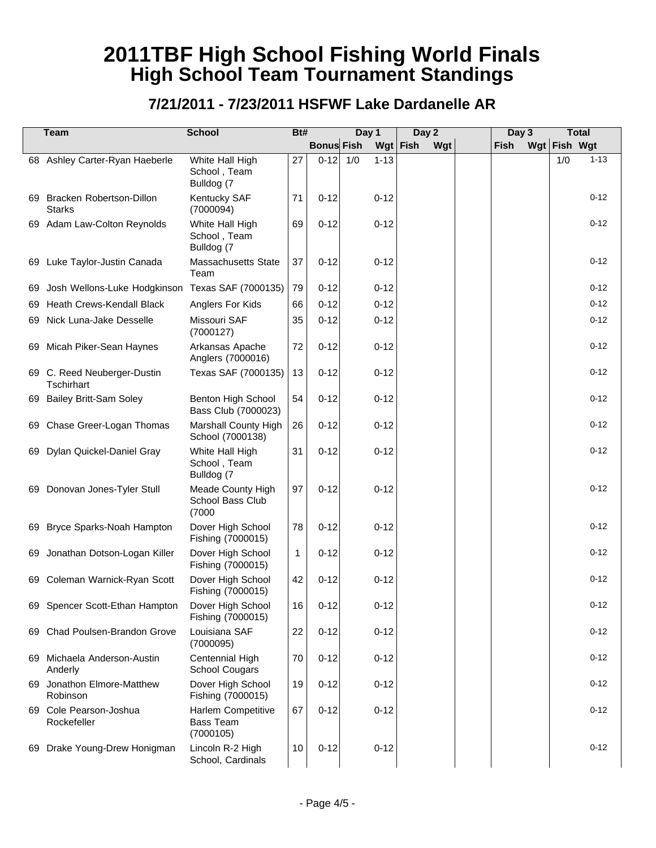|     | <b>Team</b>                                      | <b>School</b>                                       | Bt# |                   | Day 1           | Day 2             | Day 3       | <b>Total</b>    |
|-----|--------------------------------------------------|-----------------------------------------------------|-----|-------------------|-----------------|-------------------|-------------|-----------------|
|     |                                                  |                                                     |     | <b>Bonus Fish</b> |                 | Wgt   Fish<br>Wgt | <b>Fish</b> | Wgt Fish Wgt    |
|     | 68 Ashley Carter-Ryan Haeberle                   | White Hall High<br>School, Team<br>Bulldog (7       | 27  | $0-12$            | 1/0<br>$1 - 13$ |                   |             | $1 - 13$<br>1/0 |
| 69  | <b>Bracken Robertson-Dillon</b><br><b>Starks</b> | Kentucky SAF<br>(7000094)                           | 71  | $0 - 12$          | $0 - 12$        |                   |             | $0 - 12$        |
|     | 69 Adam Law-Colton Reynolds                      | White Hall High<br>School, Team<br>Bulldog (7       | 69  | $0 - 12$          | $0 - 12$        |                   |             | $0 - 12$        |
|     | 69 Luke Taylor-Justin Canada                     | <b>Massachusetts State</b><br>Team                  | 37  | $0 - 12$          | $0 - 12$        |                   |             | $0 - 12$        |
| 69  | Josh Wellons-Luke Hodgkinson Texas SAF (7000135) |                                                     | 79  | $0 - 12$          | $0 - 12$        |                   |             | $0 - 12$        |
| 69  | <b>Heath Crews-Kendall Black</b>                 | Anglers For Kids                                    | 66  | $0 - 12$          | $0 - 12$        |                   |             | $0 - 12$        |
|     | 69 Nick Luna-Jake Desselle                       | Missouri SAF<br>(7000127)                           | 35  | $0 - 12$          | $0 - 12$        |                   |             | $0 - 12$        |
| 69. | Micah Piker-Sean Haynes                          | Arkansas Apache<br>Anglers (7000016)                | 72  | $0 - 12$          | $0 - 12$        |                   |             | $0 - 12$        |
|     | 69 C. Reed Neuberger-Dustin<br>Tschirhart        | Texas SAF (7000135)                                 | 13  | $0 - 12$          | $0 - 12$        |                   |             | $0 - 12$        |
| 69  | <b>Bailey Britt-Sam Soley</b>                    | Benton High School<br>Bass Club (7000023)           | 54  | $0 - 12$          | $0 - 12$        |                   |             | $0 - 12$        |
| 69  | Chase Greer-Logan Thomas                         | Marshall County High<br>School (7000138)            | 26  | $0 - 12$          | $0 - 12$        |                   |             | $0 - 12$        |
|     | 69 Dylan Quickel-Daniel Gray                     | White Hall High<br>School, Team<br>Bulldog (7       | 31  | $0 - 12$          | $0 - 12$        |                   |             | $0 - 12$        |
|     | 69 Donovan Jones-Tyler Stull                     | Meade County High<br>School Bass Club<br>(7000)     | 97  | $0 - 12$          | $0 - 12$        |                   |             | $0 - 12$        |
| 69  | Bryce Sparks-Noah Hampton                        | Dover High School<br>Fishing (7000015)              | 78  | $0 - 12$          | $0 - 12$        |                   |             | $0 - 12$        |
| 69  | Jonathan Dotson-Logan Killer                     | Dover High School<br>Fishing (7000015)              | 1   | $0 - 12$          | $0 - 12$        |                   |             | $0 - 12$        |
|     | 69 Coleman Warnick-Ryan Scott                    | Dover High School<br>Fishing (7000015)              | 42  | $0 - 12$          | $0 - 12$        |                   |             | $0 - 12$        |
|     | 69 Spencer Scott-Ethan Hampton                   | Dover High School<br>Fishing (7000015)              | 16  | $0 - 12$          | $0 - 12$        |                   |             | $0 - 12$        |
|     | 69 Chad Poulsen-Brandon Grove                    | Louisiana SAF<br>(7000095)                          | 22  | $0 - 12$          | $0 - 12$        |                   |             | $0 - 12$        |
|     | 69 Michaela Anderson-Austin<br>Anderly           | Centennial High<br><b>School Cougars</b>            | 70  | $0 - 12$          | $0 - 12$        |                   |             | $0 - 12$        |
|     | 69 Jonathon Elmore-Matthew<br>Robinson           | Dover High School<br>Fishing (7000015)              | 19  | $0 - 12$          | $0 - 12$        |                   |             | $0 - 12$        |
|     | 69 Cole Pearson-Joshua<br>Rockefeller            | Harlem Competitive<br><b>Bass Team</b><br>(7000105) | 67  | $0 - 12$          | $0 - 12$        |                   |             | $0 - 12$        |
|     | 69 Drake Young-Drew Honigman                     | Lincoln R-2 High<br>School, Cardinals               | 10  | $0 - 12$          | $0 - 12$        |                   |             | $0 - 12$        |